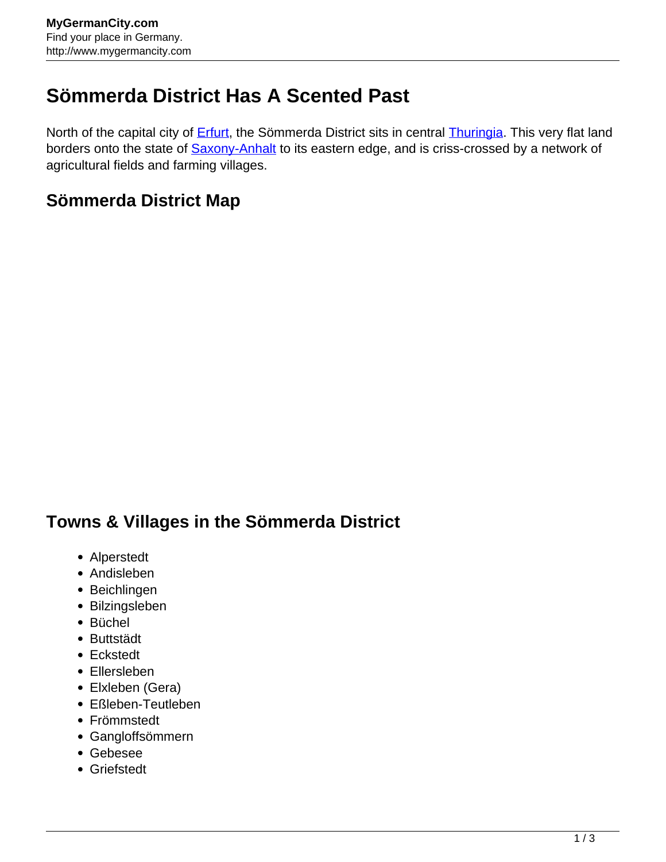## **Sömmerda District Has A Scented Past**

North of the capital city of **Erfurt**, the Sömmerda District sits in central **Thuringia**. This very flat land borders onto the state of **Saxony-Anhalt** to its eastern edge, and is criss-crossed by a network of agricultural fields and farming villages.

## **Sömmerda District Map**

## **Towns & Villages in the Sömmerda District**

- Alperstedt
- Andisleben
- Beichlingen
- Bilzingsleben
- Büchel
- Buttstädt
- Eckstedt
- Ellersleben
- Elxleben (Gera)
- Eßleben-Teutleben
- Frömmstedt
- Gangloffsömmern
- Gebesee
- Griefstedt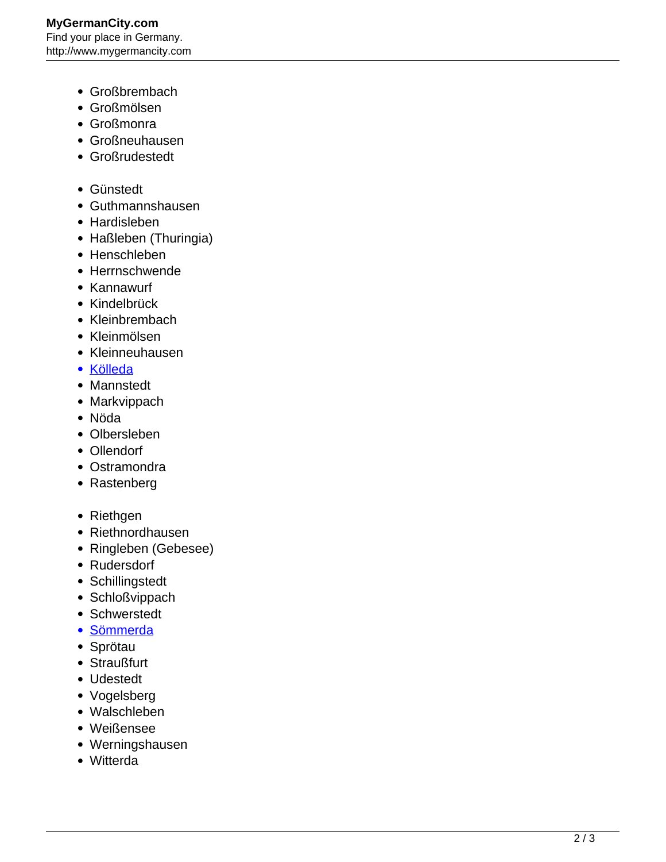- Großbrembach
- Großmölsen
- Großmonra
- Großneuhausen
- Großrudestedt
- Günstedt
- Guthmannshausen
- Hardisleben
- Haßleben (Thuringia)
- Henschleben
- Herrnschwende
- Kannawurf
- Kindelbrück
- Kleinbrembach
- Kleinmölsen
- Kleinneuhausen
- [Kölleda](http://www.mygermancity.com/koelleda)
- Mannstedt
- Markvippach
- Nöda
- Olbersleben
- Ollendorf
- Ostramondra
- Rastenberg
- Riethgen
- Riethnordhausen
- Ringleben (Gebesee)
- Rudersdorf
- Schillingstedt
- Schloßvippach
- Schwerstedt
- [Sömmerda](http://www.mygermancity.com/soemmerda)
- Sprötau
- Straußfurt
- Udestedt
- Vogelsberg
- Walschleben
- Weißensee
- Werningshausen
- Witterda